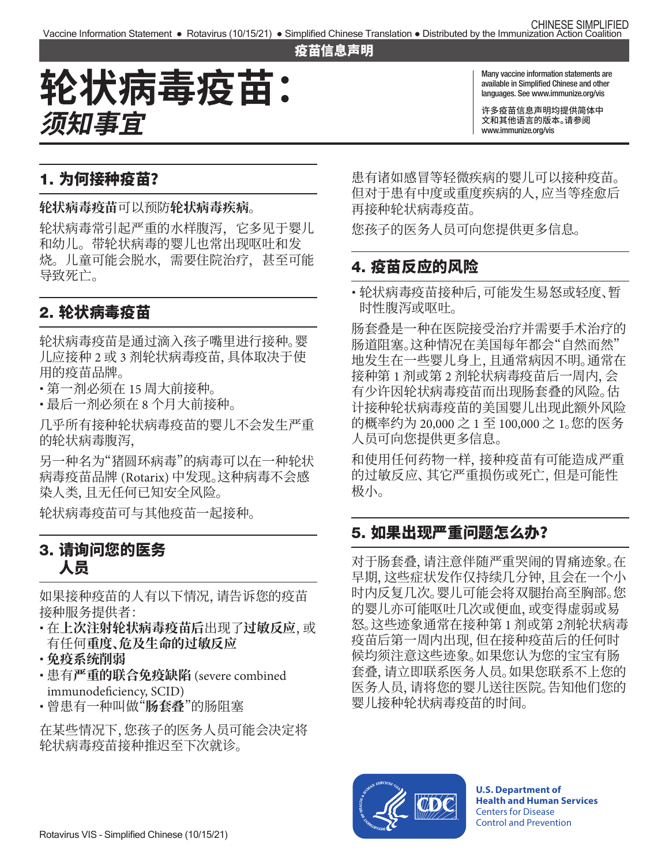#### 疫苗信息声明

# **轮状病毒疫苗: 须知事宜**

Many vaccine information statements are available in Simplified Chinese and other languages. See [www.immunize.org/vis](http://www.immunize.org/vis)

许多疫苗信息声明均提供简体中 文和其他语言的版本。请参阅 [www.immunize.org/vis](http://www.immunize.org/vis)

## 1. 为何接种疫苗?

**轮状病毒疫苗**可以预防**轮状病毒疾病**。

轮状病毒常引起严重的水样腹泻,它多见于婴儿 和幼儿。带轮状病毒的婴儿也常出现呕吐和发 烧。儿童可能会脱水,需要住院治疗,甚至可能 导致死亡。

## 2. 轮状病毒疫苗

轮状病毒疫苗是通过滴入孩子嘴里进行接种。婴 儿应接种 2 或 3 剂轮状病毒疫苗,具体取决于使 用的疫苗品牌。

- � 第一剂必须在 15 周大前接种。
- � 最后一剂必须在 8 个月大前接种。

几乎所有接种轮状病毒疫苗的婴儿不会发生严重 的轮状病毒腹泻,

另一种名为"猪圆环病毒"的病毒可以在一种轮状 病毒疫苗品牌 (Rotarix) 中发现。这种病毒不会感 染人类,且无任何已知安全风险。

轮状病毒疫苗可与其他疫苗一起接种。

### 3. 请询问您的医务 人员

如果接种疫苗的人有以下情况,请告诉您的疫苗 接种服务提供者:

- � 在**上次注射轮状病毒疫苗后**出现了**过敏反应**,或 有任何**重度、危及生命的过敏反应**
- � **免疫系统削弱**
- � 患有**严重的联合免疫缺陷** (severe combined immunodeficiency, SCID)
- � 曾患有一种叫做"**肠套叠**"的肠阻塞

在某些情况下,您孩子的医务人员可能会决定将 轮状病毒疫苗接种推迟至下次就诊。

患有诸如感冒等轻微疾病的婴儿可以接种疫苗。 但对于患有中度或重度疾病的人,应当等痊愈后 再接种轮状病毒疫苗。

您孩子的医务人员可向您提供更多信息。

## 4. 疫苗反应的风险

• 轮状病毒疫苗接种后,可能发生易怒或轻度、暂 时性腹泻或呕吐。

肠套叠是一种在医院接受治疗并需要手术治疗的 肠道阻塞。这种情况在美国每年都会"自然而然" 地发生在一些婴儿身上,且通常病因不明。通常在 接种第 1 剂或第 2 剂轮状病毒疫苗后一周内,会 有少许因轮状病毒疫苗而出现肠套叠的风险。估 计接种轮状病毒疫苗的美国婴儿出现此额外风险 的概率约为 20,000 之 1 至 100,000 之 1。您的医务 人员可向您提供更多信息。

和使用任何药物一样,接种疫苗有可能造成严重 的过敏反应、其它严重损伤或死亡,但是可能性 极小。

### 5. 如果出现严重问题怎么办?

对于肠套叠,请注意伴随严重哭闹的胃痛迹象。在 早期,这些症状发作仅持续几分钟,且会在一个小 时内反复几次。婴儿可能会将双腿抬高至胸部。您 的婴儿亦可能呕吐几次或便血,或变得虚弱或易 怒。这些迹象通常在接种第 1 剂或第 2剂轮状病毒 疫苗后第一周内出现,但在接种疫苗后的任何时 候均须注意这些迹象。如果您认为您的宝宝有肠 套叠,请立即联系医务人员。如果您联系不上您的 医务人员,请将您的婴儿送往医院。告知他们您的 婴儿接种轮状病毒疫苗的时间。



**U.S. Department of Health and Human Services**  Centers for Disease Control and Prevention